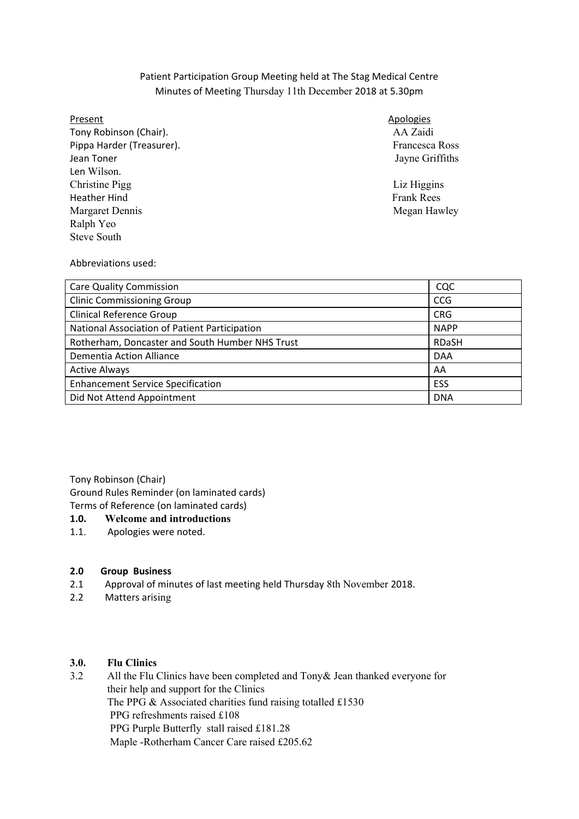## Patient Participation Group Meeting held at The Stag Medical Centre Minutes of Meeting Thursday 11th December 2018 at 5.30pm

### Present

 Tony Robinson (Chair). AA Zaidi Pippa Harder (Treasurer). The Society of the Second Pressure of the Second Prancesca Ross Jean Toner Christine Pigg Liz Higgins Heather Hind Frank Rees Margaret Dennis Megan Hawley Negan Hawley Len Wilson. Ralph Yeo Steve South

### **Apologies**

Jayne Griffiths

Abbreviations used:

| <b>Care Quality Commission</b>                  | CQC          |
|-------------------------------------------------|--------------|
| <b>Clinic Commissioning Group</b>               | <b>CCG</b>   |
| Clinical Reference Group                        | <b>CRG</b>   |
| National Association of Patient Participation   | <b>NAPP</b>  |
| Rotherham, Doncaster and South Humber NHS Trust | <b>RDaSH</b> |
| <b>Dementia Action Alliance</b>                 | <b>DAA</b>   |
| <b>Active Always</b>                            | AA           |
| <b>Enhancement Service Specification</b>        | ESS          |
| Did Not Attend Appointment                      | <b>DNA</b>   |

Tony Robinson (Chair)

Ground Rules Reminder (on laminated cards)

# Terms of Reference (on laminated cards)

### $1.0.$ **1.0. Welcome and introductions**

 $1.1.$ Apologies were noted.

#### **2.0 Group Business**

- 2.1 Approval of minutes of last meeting held Thursday 8th November 2018.
- 2.2 Matters arising

#### 3.0. **3.0. Flu Clinics**

 $3.2$ All the Flu Clinics have been completed and  $Tony& Jean$  thanked everyone for their help and support for the Clinics The PPG & Associated charities fund raising totalled £1530 PPG refreshments raised £108 PPG Purple Butterfly stall raised £181.28 Maple -Rotherham Cancer Care raised £205.62